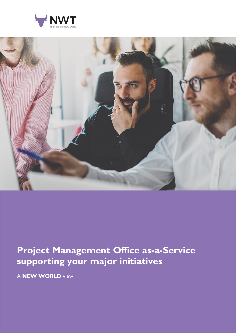



## **Project Management Office as-a-Service supporting your major initiatives**

A **NEW WORLD** view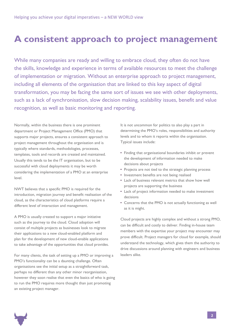### **A consistent approach to project management**

While many companies are ready and willing to embrace cloud, they often do not have the skills, knowledge and experience in terms of available resources to meet the challenge of implementation or migration. Without an enterprise approach to project management, including all elements of the organisation that are linked to this key aspect of digital transformation, you may be facing the same sort of issues we see with other deployments, such as a lack of synchronisation, slow decision making, scalability issues, benefit and value recognition, as well as basic monitoring and reporting.

Normally, within the business there is one prominent department or Project Management Office (PMO) that supports major projects, ensures a consistent approach to project management throughout the organisation and is typically where standards, methodologies, processes, templates, tools and records are created and maintained. Usually this tends to be the IT organisation, but to be successful with cloud deployments it may be worth considering the implementation of a PMO at an enterprise level.

NWT believes that a specific PMO is required for the introduction, migration journey and benefit realisation of the cloud, as the characteristics of cloud platforms require a different level of interaction and management.

A PMO is usually created to support a major initiative such as the journey to the cloud. Cloud adoption will consist of multiple projects as businesses look to migrate their applications to a new cloud-enabled platform and plan for the development of new cloud-enable applications to take advantage of the opportunities that cloud provides.

For many clients, the task of setting up a PMO or improving a PMO's functionality can be a daunting challenge. Often organisations see the initial setup as a straightforward task, perhaps no different than any other minor reorganisation, however they soon realise that even the basics of who is going to run the PMO requires more thought than just promoting an existing project manager.

It is not uncommon for politics to also play a part in determining the PMO's roles, responsibilities and authority levels and to whom it reports within the organisation. Typical issues include:

- Finding that organisational boundaries inhibit or prevent the development of information needed to make decisions about projects
- Projects are not tied to the strategic planning process
- Investment benefits are not being realised
- Lack of business relevant metrics that show how well projects are supporting the business
- Lack of project information needed to make investment decisions
- Concerns that the PMO is not actually functioning as well as it is might.

Cloud projects are highly complex and without a strong PMO, can be difficult and costly to deliver. Finding in-house team members with the expertise your project may encounter may prove difficult. Project managers for cloud for example, should understand the technology, which gives them the authority to drive discussions around planning with engineers and business leaders alike.

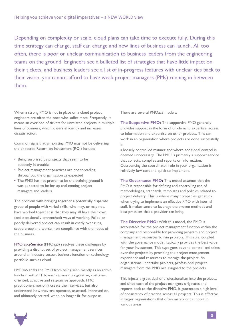Depending on complexity or scale, cloud plans can take time to execute fully. During this time strategy can change, staff can change and new lines of business can launch. All too often, there is poor or unclear communication to business leaders from the engineering teams on the ground. Engineers see a bulleted list of strategies that have little impact on their tickets, and business leaders see a list of in-progress features with unclear ties back to their vision, you cannot afford to have weak project managers (PMs) running in between them.

When a strong PMO is not in place on a cloud project, engineers are often the ones who suffer most. Frequently, it means an overload of tickets for unrelated projects in multiple lines of business, which lowers efficiency and increases dissatisfaction.

Common signs that an existing PMO may not be delivering the expected Return on Investment (ROI) include:

- Being surprised by projects that seem to be suddenly in trouble
- Project management practices are not spreading throughout the organisation as expected
- The PMO has not proven to be the training ground it was expected to be for up-and-coming project managers and leaders.

The problem with bringing together a potentially disparate group of people with varied skills, who may, or may not, have worked together is that they may all have their own (and occasionally entrenched) ways of working. Failed or poorly delivered project can result in costly over runs, scope creep and worse, non-compliance with the needs of the business.

PMO as-a-Service (PMOaaS) resolves these challenges by providing a distinct set of project management services around an industry sector, business function or technology portfolio such as cloud.

PMOaaS shifts the PMO from being seen merely as an admin function within IT towards a more progressive, customer oriented, adaptive and responsive approach. PMO practitioners not only create their services, but also understand how they are operated, assessed, improved on, and ultimately retired, when no longer fit-for-purpose.

There are several PMOaaS models:

**The Supportive PMO:** The supportive PMO generally provides support in the form of on-demand expertise, access to information and expertise on other projects. This can work in an organisation where projects are done successfully in

a loosely controlled manner and where additional control is deemed unnecessary. The PMO is primarily a support service that collects, compiles and reports on information. Outsourcing the coordinator role in your organisation is relatively low cost and quick to implement.

**The Governance PMO:** This model assumes that the PMO is responsible for defining and controlling use of methodologies, standards, templates and policies related to project delivery. This is where many companies get stuck when trying to implement an effective PMO with internal staff. It makes sense to leverage the proven methods and best practices that a provider can bring.

**The Directive PMO:** With this model, the PMO is accountable for the project management function within the company and responsible for providing program and project management resources to run projects. This role, coupled with the governance model, typically provides the best value for your investment. This type goes beyond control and takes over the projects by providing the project management experience and resources to manage the project. As organisations undertake projects, professional project managers from the PMO are assigned to the projects.

This injects a great deal of professionalism into the projects, and since each of the project managers originates and reports back to the directive PMO, it guarantees a high level of consistency of practice across all projects. This is effective in larger organisations that often matrix out support in various areas.

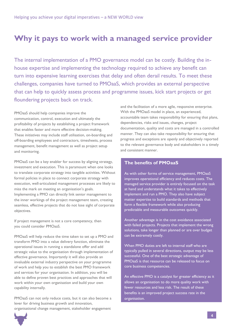### **Why it pays to work with a managed service provider**

The internal implementation of a PMO governance model can be costly. Building the inhouse expertise and implementing the technology required to achieve any benefit can turn into expensive learning exercises that delay and often derail results. To meet these challenges, companies have turned to PMOaaS, which provides an external perspective that can help to quickly assess process and programme issues, kick start projects or get floundering projects back on track.

PMOaaS should help companies improve the communication, control, execution and ultimately the profitability of projects by establishing a project framework that enables faster and more effective decision-making. These initiatives may include staff utilisation, on-boarding and off-boarding employees and contractors, timesheets, process management, benefit management as well as project setup and monitoring.

PMOaaS can be a key enabler for success by aligning strategy, investment and execution. This is paramount when one looks to translate corporate strategy into tangible activities. Without formal policies in place to connect corporate strategy with execution, well-articulated management processes are likely to miss the mark on meeting an organisation's goals. Implementing a PMO can directly link senior management to the inner workings of the project management team, creating seamless, effective projects that do not lose sight of corporate objectives.

If project management is not a core competency, then you could consider PMOaaS.

PMOaaS will help reduce the time taken to set up a PMO and transform PMO into a value delivery function, eliminate the operational issues in running a standalone offer and add strategic value to the organisation through implementation of effective governance. Importantly it will also provide an invaluable external industry perspective on your programme of work and help you to establish the best PMO framework and services for your organisation. In addition, you will be able to define proven best practices and approaches that will work within your own organisation and build your own capability internally.

PMOaaS can not only reduce costs, but it can also become a lever for driving business growth and innovation, organisational change management, stakeholder engagement

and the facilitation of a more agile, responsive enterprise. With the PMOaaS model in place, an experienced, accountable team takes responsibility for ensuring that plans, dependencies, risks and issues, changes, project documentation, quality and costs are managed in a controlled manner. They can also take responsibility for ensuring that progress and exceptions are openly and objectively reported to the relevant governance body and stakeholders in a timely and consistent manner.

#### **The benefits of PMOaaS**

As with other forms of service management, PMOaaS improves operational efficiency and reduces costs. The managed service provider is entirely focused on the task at hand and understands what it takes to effectively implement and run a PMO. They also have subject matter expertise to build standards and methods that form a flexible framework while also producing predictable and measurable outcomes quickly.

Another advantage is in the cost avoidance associated with failed projects. Projects that implement the wrong solutions, take longer than planned or are over budget can be extremely costly.

When PMO duties are left to internal staff who are typically pulled in several directions, output may be less successful. One of the best strategic advantage of PMOaaS is that resource can be released to focus on core business competencies.

An effective PMO is a catalyst for greater efficiency as it allows an organisation to do more quality work with fewer resources and less risk. The result of these benefits is an improved project success rate in the organisation.

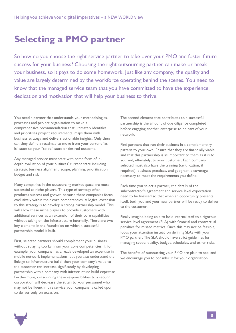# **Selecting a PMO partner**

So how do you choose the right service partner to take over your PMO and foster future success for your business? Choosing the right outsourcing partner can make or break your business, so it pays to do some homework. Just like any company, the quality and value are largely determined by the workforce operating behind the scenes. You need to know that the managed service team that you have committed to have the experience, dedication and motivation that will help your business to thrive.

You need a partner that understands your methodologies, processes and project organisation to make a comprehensive recommendation that ultimately identifies and prioritises project requirements, maps them with business strategy and delivers actionable insights. Only then can they define a roadmap to move from your current "as is" state to your "to be" state or desired outcome.

Any managed service must start with some form of indepth evaluation of your business' current state including strategic business alignment, scope, planning, prioritisation, budget and risk

Many companies in the outsourcing market space are most successful as niche players. This type of strategy often produces success and growth because these companies focus exclusively within their core competencies. A logical extension to this strategy is to develop a strong partnership model. This will allow these niche players to provide customers with additional services as an extension of their core capabilities without taking on the infrastructure internally. There are two key elements in the foundation on which a successful partnership model is built.

First, selected partners should complement your business without straying too far from your core competencies. If, for example, your company has already developed an expertise in mobile network implementations, but you also understand the linkage to infrastructure build, then your company's value to the customer can increase significantly by developing partnership with a company with infrastructure build expertise. Furthermore, outsourcing these responsibilities to a second corporation will decrease the strain to your personnel who may not be fluent in this service your company is called upon to deliver only on occasion.

The second element that contributes to a successful partnership is the amount of due diligence completed before engaging another enterprise to be part of your network.

Find partners that run their business in a complementary pattern to your own. Ensure that they are financially viable, and that this partnership is as important to them as it is to you and, ultimately, to your customer. Each company selected must also have the training (certification, if required), business practices, and geographic coverage necessary to meet the requirements you define.

Each time you select a partner, the details of the subcontractor's agreement and service level expectation need to be finalised so that when an opportunity presents itself, both you and your new partner will be ready to deliver to the customer.

Finally imagine being able to hold internal staff to a rigorous service level agreement (SLA) with financial and contractual penalties for missed metrics. Since this may not be feasible, focus your attention instead on defining SLAs with your PMO partner. The SLA should have strict guidelines for managing scope, quality, budget, schedules, and other risks.

The benefits of outsourcing your PMO are plain to see, and we encourage you to consider it for your organisation.

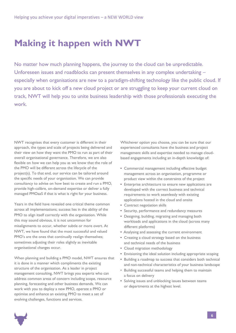## **Making it happen with NWT**

No matter how much planning happens, the journey to the cloud can be unpredictable. Unforeseen issues and roadblocks can present themselves in any complex undertaking – especially when organisations are new to a paradigm-shifting technology like the public cloud. If you are about to kick off a new cloud project or are struggling to keep your current cloud on track, NWT will help you to unite business leadership with those professionals executing the work.

NWT recognises that every customer is different in their approach, the types and scale of projects being delivered and their view on how they want the PMO to run as part of their overall organisational governance. Therefore, we are also flexible on how we can help you as we know that the role of the PMO will be different across the lifecycle of the project(s). To that end, our service can be tailored around the specific needs of your organisation. We can provide consultancy to advise on how best to create and run a PMO, provide high-calibre, on-demand expertise or deliver a fully managed PMOaaS if that is what is right for your business.

Years in the field have revealed one critical theme common across all implementations; success lies in the ability of the PMO to align itself correctly with the organisation. While this may sound obvious, it is not uncommon for misalignments to occur, whether subtle or more overt. At NWT, we have found that the most successful and valued PMO's are the ones that continually realign themselves; sometimes adjusting their roles slightly as inevitable organisational changes occur.

When planning and building a PMO model, NWT ensures that it is done in a manner which compliments the existing structure of the organisation. As a leader in project management consulting, NWT brings you experts who can address common areas of concern including scope, resource planning, forecasting and other business demands. We can work with you to deploy a new PMO, operate a PMO or optimise and enhance an existing PMO to meet a set of evolving challenges, functions and services.

Whichever option you choose, you can be sure that our experienced consultants have the business and project management skills and expertise needed to manage cloudbased engagements including an in-depth knowledge of:

- Commercial management including effective budget management across an organisation, programme or product view within the constraints of the project
- Enterprise architecture to ensure new applications are developed with the correct business and technical requirements to work seamlessly with existing applications hosted in the cloud and onsite
- Contract negotiation skills
- Security, performance and redundancy measures
- Designing, building, migrating and managing both workloads and applications in the cloud (across many different platforms)
- Analysing and assessing the current environment
- Creating a cloud strategy based on the business and technical needs of the business
- Cloud migration methodology
- Envisioning the ideal solution including appropriate scoping
- Building a roadmap to success that considers both technical and non-technical characteristics of your business landscape
- Building successful teams and helping them to maintain a focus on delivery
- Solving issues and unblocking issues between teams or departments at the highest level.

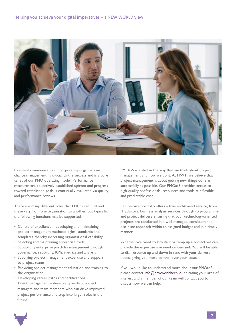

Constant communication, incorporating organisational change management, is crucial to the success and is a core tenet of our PMO operating model. Performance measures are collectively established upfront and progress toward established goals is continually evaluated via quality and performance reviews.

There are many different roles that PMO's can fulfil and these vary from one organisation to another, but typically, the following functions may be supported:

- Centre of excellence developing and maintaining project management methodologies, standards and templates thereby increasing organisational capability
- Selecting and maintaining enterprise tools
- Supporting enterprise portfolio management through governance, reporting, KPIs, metrics and analysis
- Supplying project management expertise and support to project teams
- Providing project management education and training to the organisation
- Developing career paths and certifications
- Talent management developing leaders, project managers and team members who can drive improved project performance and step into larger roles in the future.

PMOaaS is a shift in the way that we think about project management and how we do it. At NWT, we believe that project management is about getting new things done as successfully as possible. Our PMOaaS provides access to high-quality professionals, resources and tools at a flexible and predictable cost.

Our service portfolio offers a true end-to-end service, from IT advisory, business analysis services through to programme and project delivery ensuring that your technology-oriented projects are conducted in a well-managed, consistent and discipline approach within an assigned budget and in a timely manner.

Whether you want to kickstart or ramp up a project we can provide the expertise you need on demand. You will be able to dial resource up and down in sync with your delivery needs, giving you more control over your costs.

If you would like to understand more about our PMOaaS please contact [info@newworldtech.io](mailto:%20info%40newworldtech.io?subject=) indicating your area of interest and a member of our team will contact you to discuss how we can help.